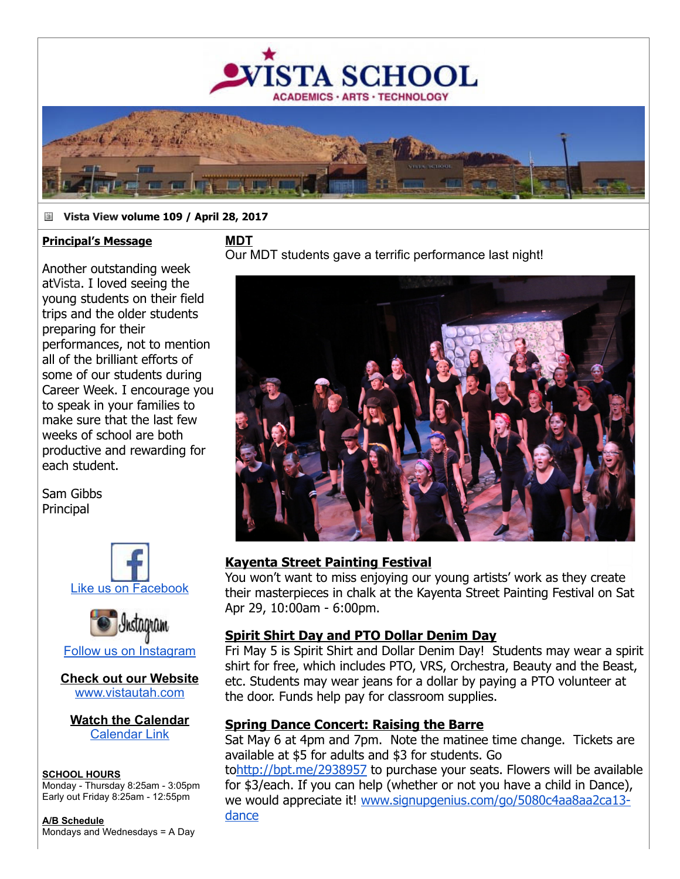

## **Vista View volume 109 / April 28, 2017**

**MDT**

### **Principal's Message**

Another outstanding week atVista. I loved seeing the young students on their field trips and the older students preparing for their performances, not to mention all of the brilliant efforts of some of our students during Career Week. I encourage you to speak in your families to make sure that the last few weeks of school are both productive and rewarding for each student.

Sam Gibbs **Principal** 





**Check out our Website** [www.vistautah.com](http://track.spe.schoolmessenger.com/f/a/-YSQ8Avx8y5JxeUksVRCgg~~/AAAAAQA~/RgRa5NuiP0EIAKx_NR2EBSFXB3NjaG9vbG1YBAAAAABCCgACIqgDWdgpShhSFG1yb3dhbkB2aXN0YXV0YWguY29tCVEEAAAAAEQYaHR0cDovL3d3dy52aXN0YXV0YWguY29tR6d7InNlbnRUaW1lTXMiOiIxNDkzNDExNzc1ODg0Iiwiam9iaWQiOiI3MTEiLCJwZXJzb25pZCI6IjM3MDA0Iiwic2VxdWVuY2UiOiIwIiwiY3VzdG9tZXJpZCI6Ijg3NDYiLCJlbWFpbFNvdXJjZSI6IkNVU1RPTUVSX0pPQiIsImVudiI6InByb2QiLCJzaGFyZGlkIjoiMSIsInVzZXJpZCI6IjIifQ~~)

**Watch the Calendar** [Calendar Link](http://track.spe.schoolmessenger.com/f/a/_i3IwhVITgjiMl-qAOeNyA~~/AAAAAQA~/RgRa5NuiP0EIAKx_NR2EBSFXB3NjaG9vbG1YBAAAAABCCgACIqgDWdgpShhSFG1yb3dhbkB2aXN0YXV0YWguY29tCVEEAAAAAEQiaHR0cDovL3d3dy52aXN0YXV0YWguY29tL2NhbGVuZGFyL0eneyJlbnYiOiJwcm9kIiwiam9iaWQiOiI3MTEiLCJwZXJzb25pZCI6IjM3MDA0Iiwic2VxdWVuY2UiOiIwIiwic2VudFRpbWVNcyI6IjE0OTM0MTE3NzU4ODQiLCJ1c2VyaWQiOiIyIiwiY3VzdG9tZXJpZCI6Ijg3NDYiLCJlbWFpbFNvdXJjZSI6IkNVU1RPTUVSX0pPQiIsInNoYXJkaWQiOiIxIn0~)

### **SCHOOL HOURS**

Monday Thursday 8:25am 3:05pm Early out Friday 8:25am 12:55pm

**A/B Schedule** Mondays and Wednesdays = A Day

# Our MDT students gave a terrific performance last night!



# **Kayenta Street Painting Festival**

You won't want to miss enjoying our young artists' work as they create their masterpieces in chalk at the Kayenta Street Painting Festival on Sat Apr 29, 10:00am - 6:00pm.

# **Spirit Shirt Day and PTO Dollar Denim Day**

Fri May 5 is Spirit Shirt and Dollar Denim Day! Students may wear a spirit shirt for free, which includes PTO, VRS, Orchestra, Beauty and the Beast, etc. Students may wear jeans for a dollar by paying a PTO volunteer at the door. Funds help pay for classroom supplies.

# **Spring Dance Concert: Raising the Barre**

Sat May 6 at 4pm and 7pm. Note the matinee time change. Tickets are available at \$5 for adults and \$3 for students. Go

to[http://bpt.me/2938957](http://track.spe.schoolmessenger.com/f/a/5MrrUeOn5YFoxTGIzRxVGA~~/AAAAAQA~/RgRa5NuiP0EIAKx_NR2EBSFXB3NjaG9vbG1YBAAAAABCCgACIqgDWdgpShhSFG1yb3dhbkB2aXN0YXV0YWguY29tCVEEAAAAAEQVaHR0cDovL2JwdC5tZS8yOTM4OTU3R6d7InNoYXJkaWQiOiIxIiwic2VxdWVuY2UiOiIwIiwidXNlcmlkIjoiMiIsInNlbnRUaW1lTXMiOiIxNDkzNDExNzc1ODg0IiwiY3VzdG9tZXJpZCI6Ijg3NDYiLCJlbnYiOiJwcm9kIiwicGVyc29uaWQiOiIzNzAwNCIsImVtYWlsU291cmNlIjoiQ1VTVE9NRVJfSk9CIiwiam9iaWQiOiI3MTEifQ~~) to purchase your seats. Flowers will be available for \$3/each. If you can help (whether or not you have a child in Dance), we would appreciate it! [www.signupgenius.com/go/5080c4aa8aa2ca13](http://track.spe.schoolmessenger.com/f/a/SXCwBHQbx3mEYjOoE1fDqQ~~/AAAAAQA~/RgRa5NuiP0EIAKx_NR2EBSFXB3NjaG9vbG1YBAAAAABCCgACIqgDWdgpShhSFG1yb3dhbkB2aXN0YXV0YWguY29tCVEEAAAAAEQ1aHR0cDovL3d3dy5zaWdudXBnZW5pdXMuY29tL2dvLzUwODBjNGFhOGFhMmNhMTMtZGFuY2VHp3sicGVyc29uaWQiOiIzNzAwNCIsImN1c3RvbWVyaWQiOiI4NzQ2Iiwic2VudFRpbWVNcyI6IjE0OTM0MTE3NzU4ODQiLCJzZXF1ZW5jZSI6IjAiLCJlbnYiOiJwcm9kIiwiam9iaWQiOiI3MTEiLCJ1c2VyaWQiOiIyIiwic2hhcmRpZCI6IjEiLCJlbWFpbFNvdXJjZSI6IkNVU1RPTUVSX0pPQiJ9) dance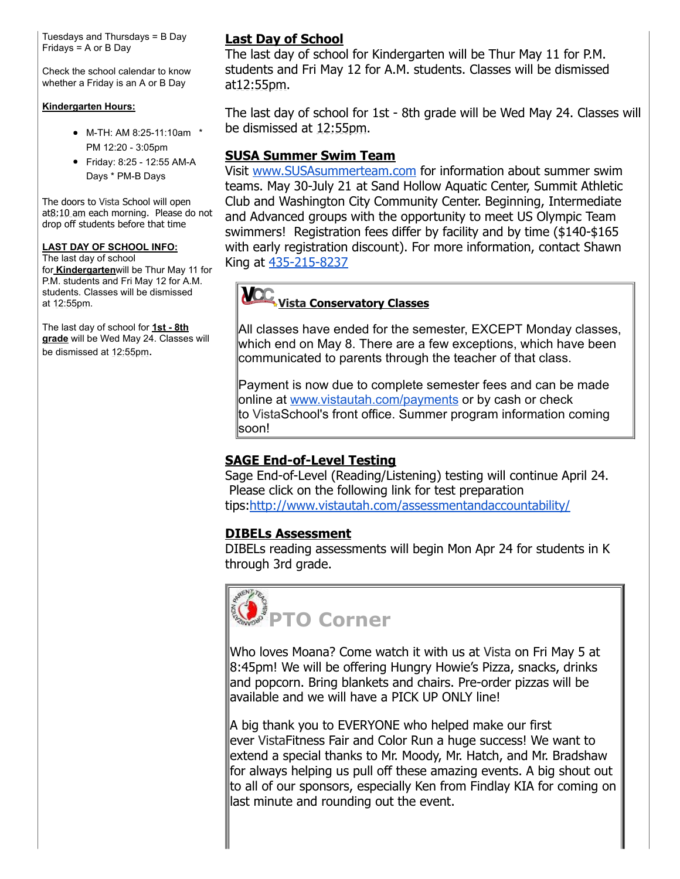Tuesdays and Thursdays = B Day Fridays = A or B Day

Check the school calendar to know whether a Friday is an A or B Day

#### **Kindergarten Hours:**

- M-TH: AM 8:25-11:10am \* PM 12:20 3:05pm
- Friday: 8:25 12:55 AM-A Days \* PM-B Days

The doors to Vista School will open at8:10 am each morning. Please do not drop off students before that time

#### **LAST DAY OF SCHOOL INFO:**

The last day of school for **Kindergarten**will be Thur May 11 for P.M. students and Fri May 12 for A.M. students. Classes will be dismissed at 12:55pm.

The last day of school for 1st - 8th **grade** will be Wed May 24. Classes will be dismissed at 12:55pm.

# **Last Day of School**

The last day of school for Kindergarten will be Thur May 11 for P.M. students and Fri May 12 for A.M. students. Classes will be dismissed at 12:55pm.

The last day of school for 1st - 8th grade will be Wed May 24. Classes will be dismissed at 12:55pm.

# **SUSA Summer Swim Team**

Visit [www.SUSAsummerteam.com](http://track.spe.schoolmessenger.com/f/a/GvsYZe9NnLlezjKjyG9_2Q~~/AAAAAQA~/RgRa5NuiP0EIAKx_NR2EBSFXB3NjaG9vbG1YBAAAAABCCgACIqgDWdgpShhSFG1yb3dhbkB2aXN0YXV0YWguY29tCVEEAAAAAEQdaHR0cDovL3d3dy5TVVNBc3VtbWVydGVhbS5jb21Hp3sicGVyc29uaWQiOiIzNzAwNCIsInNlbnRUaW1lTXMiOiIxNDkzNDExNzc1ODg0IiwiY3VzdG9tZXJpZCI6Ijg3NDYiLCJ1c2VyaWQiOiIyIiwiam9iaWQiOiI3MTEiLCJlbWFpbFNvdXJjZSI6IkNVU1RPTUVSX0pPQiIsImVudiI6InByb2QiLCJzZXF1ZW5jZSI6IjAiLCJzaGFyZGlkIjoiMSJ9) for information about summer swim teams. May 30-July 21 at Sand Hollow Aquatic Center, Summit Athletic Club and Washington City Community Center. Beginning, Intermediate and Advanced groups with the opportunity to meet US Olympic Team swimmers! Registration fees differ by facility and by time (\$140-\$165) with early registration discount). For more information, contact Shawn King at 435-215-8237

#### **ICC Vista Conservatory Classes**

All classes have ended for the semester, EXCEPT Monday classes, which end on May 8. There are a few exceptions, which have been communicated to parents through the teacher of that class.

Payment is now due to complete semester fees and can be made online at [www.vistautah.com/payments](http://track.spe.schoolmessenger.com/f/a/IuvjDYuGDRu0dCxEkTTHDA~~/AAAAAQA~/RgRa5NuiP0EIAKx_NR2EBSFXB3NjaG9vbG1YBAAAAABCCgACIqgDWdgpShhSFG1yb3dhbkB2aXN0YXV0YWguY29tCVEEAAAAAEQhaHR0cDovL3d3dy52aXN0YXV0YWguY29tL3BheW1lbnRzR6d7ImVudiI6InByb2QiLCJzaGFyZGlkIjoiMSIsInBlcnNvbmlkIjoiMzcwMDQiLCJzZXF1ZW5jZSI6IjAiLCJzZW50VGltZU1zIjoiMTQ5MzQxMTc3NTg4NCIsInVzZXJpZCI6IjIiLCJjdXN0b21lcmlkIjoiODc0NiIsImVtYWlsU291cmNlIjoiQ1VTVE9NRVJfSk9CIiwiam9iaWQiOiI3MTEifQ~~) or by cash or check to VistaSchool's front office. Summer program information coming soon!

# **SAGE End-of-Level Testing**

Sage End-of-Level (Reading/Listening) testing will continue April 24. Please click on the following link for test preparation tips:[http://www.vistautah.com/assessmentandaccountability/](http://track.spe.schoolmessenger.com/f/a/PvUk8l17NaPFFQPCZGnQGw~~/AAAAAQA~/RgRa5NuiP0EIAKx_NR2EBSFXB3NjaG9vbG1YBAAAAABCCgACIqgDWdgpShhSFG1yb3dhbkB2aXN0YXV0YWguY29tCVEEAAAAAIQLBGh0dHA6Ly90cmFjay5zcGUuc2Nob29sbWVzc2VuZ2VyLmNvbS9mL2EvbC1neFZwYUthcFFyN0VjVWR6ci1LQX5-L0FBQUFBUUF-L1JnUmEwVXJfUDBFSUFHeHpSbHNuLXBoWEIzTmphRzl2YkcxWUJBQUFBQUJDQ2dBQmZ4ZndXREhXM2F4U0ZHSm9ZWFJqYUVCMmFYTjBZWFYwWVdndVkyOXRDVkVFQUFBQUFJVGJBV2gwZEhBNkx5OTBjbUZqYXk1emNHVXVjMk5vYjI5c2JXVnpjMlZ1WjJWeUxtTnZiUzltTDJFdmQyeFFMV0UzVHpsQmFEQnpjVE4xTTBOV09ISllaMzUtTDBGQlFVRkJVVUYtTDFKblVtRjVWRlV4VURCRlNVRlBlSHBTYm05dGVFVXhXRUl6VG1waFJ6bDJZa2N4V1VKQlFVRkJRVUpEUTJkQlJIUlJTRzlYVEdoWk9VMTBVMFl6VW1samJVWnJZekpvYUdRd1FqSmhXRTR3V1ZoV01GbFhaM1ZaTWpsMFExWkZSVUZCUVVGQlJWRXhZVWhTTUdORWIzWk1NMlF6WkhrMU1tRllUakJaV0ZZd1dWZG5kVmt5T1hSTU1rWjZZekpXZW1NeU1XeGlibEpvWW0xU2FGa3lUblprVnpVd1dWZEtjR0pIYkRCbFV6bEljRE56YVdNeWFHaGpiVkp3V2tOSk5rbHFSV2xNUTBwc1ltNVphVTlwU25kamJUbHJTV2wzYVdNeVZuVmtSbEp3WWxkV1RtTjVTVFpKYWtVd1QxUkZNVTlVYXpOT2VsazBUVVJyYVV4RFNuZGFXRXA2WWpJMWNGcERTVFpKYWswelRVUkJORWxwZDJsYVZ6Rm9ZVmQ0VkdJelZubFpNbFZwVDJsS1JGWldUbFZVTURGR1ZXdzVTMVF3U1dsTVEwcDZXbGhHTVZwWE5XcGFVMGsyU1dwQmFVeERTbkZpTWtwd1drTkpOa2xxV1RSTmVVbHpTVzVXZWxwWVNuQmFRMGsyU1dwSmFVeERTbXBrV0U0d1lqSXhiR050Ykd0SmFtOXBUMFJqTUU1cFNqbEhwM3NpZFhObGNtbGtJam9pTWlJc0luTmxiblJVYVcxbFRYTWlPaUl4TkRreU1USTVOalEwTmpFMklpd2lZM1Z6ZEc5dFpYSnBaQ0k2SWpnM05EWWlMQ0p3WlhKemIyNXBaQ0k2SWpNM01EVTVJaXdpYzJWeGRXVnVZMlVpT2lJd0lpd2laVzUySWpvaWNISnZaQ0lzSW5Ob1lYSmthV1FpT2lJeElpd2laVzFoYVd4VGIzVnlZMlVpT2lKRFZWTlVUMDFGVWw5S1QwSWlMQ0pxYjJKcFpDSTZJalk1TXlKOUeneyJqb2JpZCI6IjcxMSIsInNoYXJkaWQiOiIxIiwiY3VzdG9tZXJpZCI6Ijg3NDYiLCJwZXJzb25pZCI6IjM3MDA0Iiwic2VxdWVuY2UiOiIwIiwiZW1haWxTb3VyY2UiOiJDVVNUT01FUl9KT0IiLCJzZW50VGltZU1zIjoiMTQ5MzQxMTc3NTg4NCIsImVudiI6InByb2QiLCJ1c2VyaWQiOiIyIn0~)

# **DIBELs Assessment**

DIBELs reading assessments will begin Mon Apr 24 for students in K through 3rd grade.



Who loves Moana? Come watch it with us at Vista on Fri May 5 at 8:45pm! We will be offering Hungry Howie's Pizza, snacks, drinks and popcorn. Bring blankets and chairs. Pre-order pizzas will be available and we will have a PICK UP ONLY line!

A big thank you to EVERYONE who helped make our first ever VistaFitness Fair and Color Run a huge success! We want to extend a special thanks to Mr. Moody, Mr. Hatch, and Mr. Bradshaw for always helping us pull off these amazing events. A big shout out to all of our sponsors, especially Ken from Findlay KIA for coming on last minute and rounding out the event.